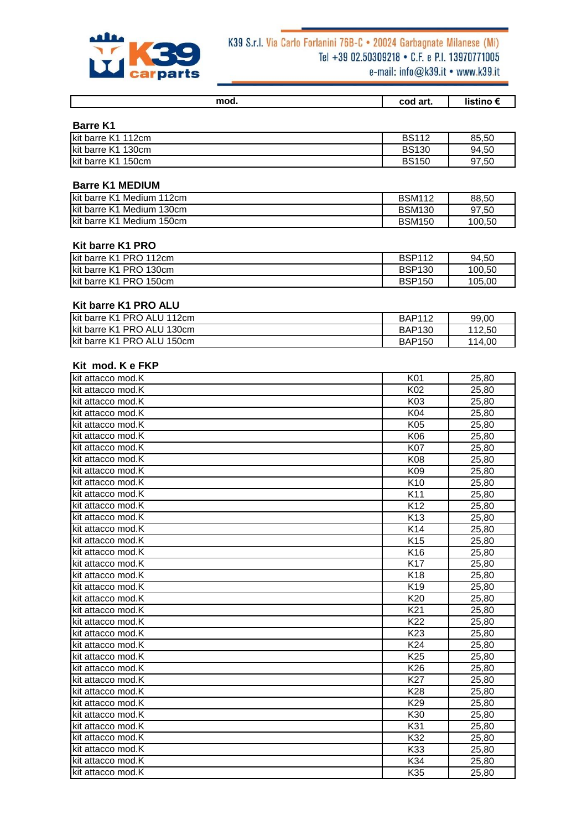

# K39 S.r.l. Via Carlo Forlanini 76B-C . 20024 Garbagnate Milanese (Mi) Tel +39 02.50309218 • C.F. e P.I. 13970771005

|  |  | e-mail: $into@$ k39.it • www.k39.it |  |  |
|--|--|-------------------------------------|--|--|
|--|--|-------------------------------------|--|--|

| mod. | cod art. | <b>iistino</b> |
|------|----------|----------------|
|      |          |                |

| <b>Barre K1</b> |  |
|-----------------|--|
|-----------------|--|

| Ikit barre K1 112cm | <b>BS112</b> | 85,50 |
|---------------------|--------------|-------|
| Ikit barre K1 130cm | <b>BS130</b> | 94,50 |
| Ikit barre K1 150cm | <b>BS150</b> | 97,50 |

#### **Barre K1 MEDIUM**

| Ikit barre K1 Medium 112cm | <b>BSM112</b> | 88.50  |
|----------------------------|---------------|--------|
| Ikit barre K1 Medium 130cm | <b>BSM130</b> | 97.50  |
| Ikit barre K1 Medium 150cm | <b>BSM150</b> | 100.50 |

#### **Kit barre K1 PRO**

| lkit barre K1 PRO 112cm | <b>BSP112</b> | 94.50  |
|-------------------------|---------------|--------|
| lkit barre K1 PRO 130cm | <b>BSP130</b> | 100.50 |
| lkit barre K1 PRO 150cm | <b>BSP150</b> | 105.00 |

#### **Kit barre K1 PRO ALU**

| kit barre K1 PRO ALU 112cm  | <b>BAP112</b> | 99,00  |
|-----------------------------|---------------|--------|
| kit barre K1 PRO ALU 130cm  | <b>BAP130</b> | 112.50 |
| Ikit barre K1 PRO ALU 150cm | <b>BAP150</b> | 114.00 |

#### **Kit mod. K e FKP**

| kit attacco mod.K | K01             | 25,80 |
|-------------------|-----------------|-------|
| kit attacco mod.K | K02             | 25,80 |
| kit attacco mod.K | K03             | 25,80 |
| kit attacco mod.K | K04             | 25,80 |
| kit attacco mod.K | K05             | 25,80 |
| kit attacco mod.K | K06             | 25,80 |
| kit attacco mod.K | K07             | 25,80 |
| kit attacco mod.K | K08             | 25,80 |
| kit attacco mod.K | K09             | 25,80 |
| kit attacco mod.K | K10             | 25,80 |
| kit attacco mod.K | K11             | 25,80 |
| kit attacco mod.K | K <sub>12</sub> | 25,80 |
| kit attacco mod.K | K <sub>13</sub> | 25,80 |
| kit attacco mod.K | K14             | 25,80 |
| kit attacco mod.K | K <sub>15</sub> | 25,80 |
| kit attacco mod.K | K16             | 25,80 |
| kit attacco mod.K | K17             | 25,80 |
| kit attacco mod.K | K <sub>18</sub> | 25,80 |
| kit attacco mod.K | K19             | 25,80 |
| kit attacco mod.K | K20             | 25,80 |
| kit attacco mod.K | K21             | 25,80 |
| kit attacco mod.K | K22             | 25,80 |
| kit attacco mod.K | K <sub>23</sub> | 25,80 |
| kit attacco mod.K | K24             | 25,80 |
| kit attacco mod.K | K <sub>25</sub> | 25,80 |
| kit attacco mod.K | K26             | 25,80 |
| kit attacco mod.K | K27             | 25,80 |
| kit attacco mod.K | K28             | 25,80 |
| kit attacco mod.K | K29             | 25,80 |
| kit attacco mod.K | K30             | 25,80 |
| kit attacco mod.K | K31             | 25,80 |
| kit attacco mod.K | K32             | 25,80 |
| kit attacco mod.K | K33             | 25,80 |
| kit attacco mod.K | K34             | 25,80 |
| kit attacco mod.K | K35             | 25,80 |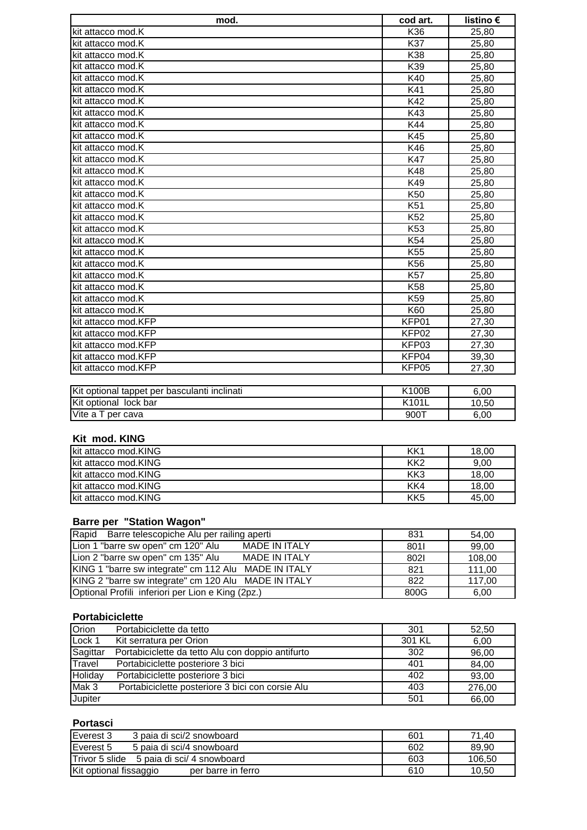| mod.                                                 | cod art.        | listino € |
|------------------------------------------------------|-----------------|-----------|
| kit attacco mod.K                                    | K36             | 25,80     |
| kit attacco mod.K                                    | K37             | 25,80     |
| kit attacco mod.K                                    | K38             | 25,80     |
| kit attacco mod.K                                    | K39             | 25,80     |
| kit attacco mod.K                                    | K40             | 25,80     |
| kit attacco mod.K                                    | K41             | 25,80     |
| kit attacco mod.K                                    | K42             | 25,80     |
| kit attacco mod.K                                    | K43             | 25,80     |
| kit attacco mod.K                                    | K44             | 25,80     |
| kit attacco mod.K                                    | K45             | 25,80     |
| kit attacco mod.K                                    | K46             | 25,80     |
| kit attacco mod.K                                    | <b>K47</b>      | 25,80     |
| kit attacco mod.K                                    | K48             | 25,80     |
| kit attacco mod.K                                    | K49             | 25,80     |
| kit attacco mod.K                                    | K <sub>50</sub> | 25,80     |
| kit attacco mod.K                                    | K51             | 25,80     |
| kit attacco mod.K                                    | K52             | 25,80     |
| kit attacco mod.K                                    | K <sub>53</sub> | 25,80     |
| kit attacco mod.K                                    | K54             | 25,80     |
| kit attacco mod.K                                    | K55             | 25,80     |
| kit attacco mod.K                                    | K <sub>56</sub> | 25,80     |
| kit attacco mod.K                                    | <b>K57</b>      | 25,80     |
| kit attacco mod.K                                    | K58             | 25,80     |
| kit attacco mod.K                                    | K59             | 25,80     |
| kit attacco mod.K                                    | K60             | 25,80     |
| kit attacco mod.KFP                                  | KFP01           | 27,30     |
| kit attacco mod.KFP                                  | KFP02           | 27,30     |
| kit attacco mod.KFP                                  | KFP03           | 27,30     |
| kit attacco mod.KFP                                  | KFP04           | 39,30     |
| kit attacco mod.KFP                                  | KFP05           | 27,30     |
|                                                      |                 |           |
| <b>IKit optional tannet ner hasculanti inclinati</b> | <b>K100B</b>    | R UU      |

| Kit optional tappet per basculanti inclinati | K100B     | 6.00  |
|----------------------------------------------|-----------|-------|
| Kit optional lock bar                        | K101L     | 10.50 |
| Vite a T per cava                            | $900^{-}$ | 6.00  |

## **Kit mod. KING**

| kit attacco mod.KING  | KK1             | 18,00 |
|-----------------------|-----------------|-------|
| Ikit attacco mod.KING | KK <sub>2</sub> | 9,00  |
| kit attacco mod.KING  | KK <sub>3</sub> | 18,00 |
| kit attacco mod.KING  | KK4             | 18,00 |
| kit attacco mod.KING  | KK <sub>5</sub> | 45.00 |

## **Barre per "Station Wagon"**

| Rapid Barre telescopiche Alu per railing aperti            | 831  | 54,00  |
|------------------------------------------------------------|------|--------|
| Lion 1 "barre sw open" cm 120" Alu<br><b>MADE IN ITALY</b> | 8011 | 99,00  |
| Lion 2 "barre sw open" cm 135" Alu<br><b>MADE IN ITALY</b> | 8021 | 108,00 |
| KING 1 "barre sw integrate" cm 112 Alu MADE IN ITALY       | 821  | 111,00 |
| KING 2 "barre sw integrate" cm 120 Alu MADE IN ITALY       | 822  | 117,00 |
| Optional Profili inferiori per Lion e King (2pz.)          | 800G | 6,00   |

### **Portabiciclette**

| Orion    | Portabiciclette da tetto                          | 301    | 52,50  |
|----------|---------------------------------------------------|--------|--------|
| Lock 1   | Kit serratura per Orion                           | 301 KL | 6,00   |
| Sagittar | Portabiciclette da tetto Alu con doppio antifurto | 302    | 96,00  |
| Travel   | Portabiciclette posteriore 3 bici                 | 401    | 84.00  |
| Holiday  | Portabiciclette posteriore 3 bici                 | 402    | 93,00  |
| Mak 3    | Portabiciclette posteriore 3 bici con corsie Alu  | 403    | 276,00 |
| Jupiter  |                                                   | 501    | 66,00  |

#### **Portasci**

| Everest 3<br>3 paia di sci/2 snowboard              | 601 | 71,40  |
|-----------------------------------------------------|-----|--------|
| Everest 5<br>5 paia di sci/4 snowboard              | 602 | 89.90  |
| <b>Trivor 5 slide</b><br>5 paia di sci/ 4 snowboard | 603 | 106.50 |
| Kit optional fissaggio<br>per barre in ferro        | 610 | 10.50  |